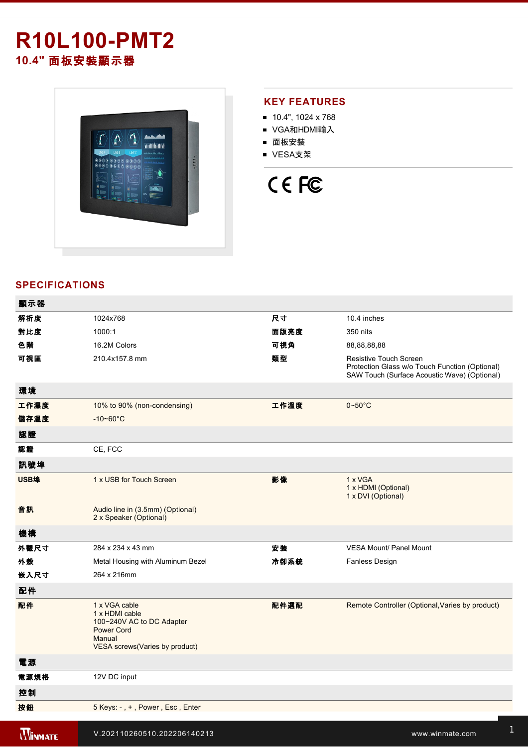# **R10L100-PMT2 10.4"** 面板安裝顯示器



## **KEY FEATURES**

- 10.4", 1024 x 768
- VGA和HDMI輸入
- 面板安裝
- VESA支架

# CE FC

# **SPECIFICATIONS**

| 顯示器            |                                                                                                                                |      |                                                                                                                          |
|----------------|--------------------------------------------------------------------------------------------------------------------------------|------|--------------------------------------------------------------------------------------------------------------------------|
| 解析度            | 1024x768                                                                                                                       | 尺寸   | 10.4 inches                                                                                                              |
| 對比度            | 1000:1                                                                                                                         | 面版亮度 | 350 nits                                                                                                                 |
| 色階             | 16.2M Colors                                                                                                                   | 可視角  | 88,88,88,88                                                                                                              |
| 可視區            | 210.4x157.8 mm                                                                                                                 | 類型   | Resistive Touch Screen<br>Protection Glass w/o Touch Function (Optional)<br>SAW Touch (Surface Acoustic Wave) (Optional) |
| 環境             |                                                                                                                                |      |                                                                                                                          |
| 工作濕度           | 10% to 90% (non-condensing)                                                                                                    | 工作溫度 | $0\nightharpoonup 50^\circ C$                                                                                            |
| 儲存溫度           | $-10 - 60^{\circ}$ C                                                                                                           |      |                                                                                                                          |
| 認證             |                                                                                                                                |      |                                                                                                                          |
| 認證             | CE, FCC                                                                                                                        |      |                                                                                                                          |
| 訊號埠            |                                                                                                                                |      |                                                                                                                          |
| USB埠           | 1 x USB for Touch Screen                                                                                                       | 影像   | 1 x VGA<br>1 x HDMI (Optional)<br>1 x DVI (Optional)                                                                     |
| 音訊             | Audio line in (3.5mm) (Optional)<br>2 x Speaker (Optional)                                                                     |      |                                                                                                                          |
| 機構             |                                                                                                                                |      |                                                                                                                          |
| 外觀尺寸           | 284 x 234 x 43 mm                                                                                                              | 安装   | <b>VESA Mount/ Panel Mount</b>                                                                                           |
| 外殼             | Metal Housing with Aluminum Bezel                                                                                              | 冷卻系統 | Fanless Design                                                                                                           |
| 嵌入尺寸           | 264 x 216mm                                                                                                                    |      |                                                                                                                          |
| 配件             |                                                                                                                                |      |                                                                                                                          |
| 配件             | 1 x VGA cable<br>1 x HDMI cable<br>100~240V AC to DC Adapter<br><b>Power Cord</b><br>Manual<br>VESA screws (Varies by product) | 配件選配 | Remote Controller (Optional, Varies by product)                                                                          |
| 電源             |                                                                                                                                |      |                                                                                                                          |
| 電源規格           | 12V DC input                                                                                                                   |      |                                                                                                                          |
| 控制             |                                                                                                                                |      |                                                                                                                          |
| 按鈕             | 5 Keys: -, +, Power, Esc, Enter                                                                                                |      |                                                                                                                          |
| <b>WINMATE</b> | V.202110260510.202206140213                                                                                                    |      | www.winmate.com                                                                                                          |